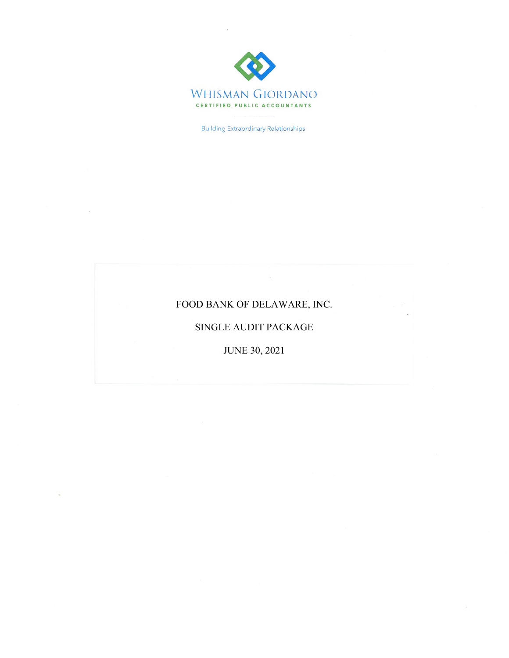

**Building Extraordinary Relationships** 

# FOOD BANK OF DELAWARE, INC.

### SINGLE AUDIT PACKAGE

JUNE 30, 2021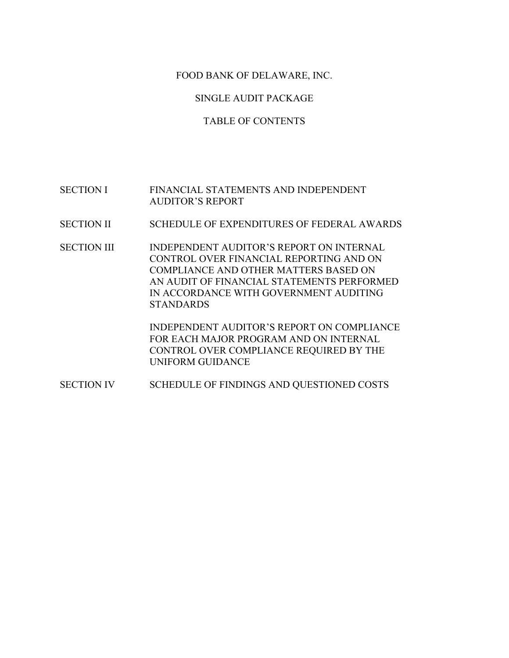#### SINGLE AUDIT PACKAGE

#### TABLE OF CONTENTS

#### SECTION I FINANCIAL STATEMENTS AND INDEPENDENT AUDITOR'S REPORT

#### SECTION II SCHEDULE OF EXPENDITURES OF FEDERAL AWARDS

SECTION III INDEPENDENT AUDITOR'S REPORT ON INTERNAL CONTROL OVER FINANCIAL REPORTING AND ON COMPLIANCE AND OTHER MATTERS BASED ON AN AUDIT OF FINANCIAL STATEMENTS PERFORMED IN ACCORDANCE WITH GOVERNMENT AUDITING **STANDARDS** 

> INDEPENDENT AUDITOR'S REPORT ON COMPLIANCE FOR EACH MAJOR PROGRAM AND ON INTERNAL CONTROL OVER COMPLIANCE REQUIRED BY THE UNIFORM GUIDANCE

SECTION IV SCHEDULE OF FINDINGS AND QUESTIONED COSTS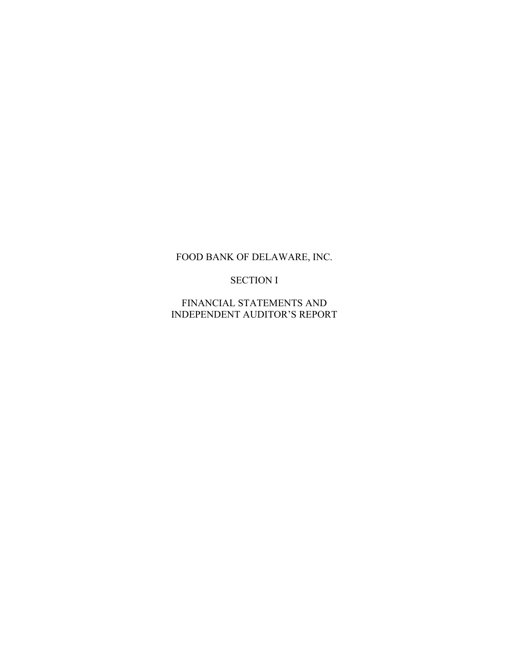SECTION I

 FINANCIAL STATEMENTS AND INDEPENDENT AUDITOR'S REPORT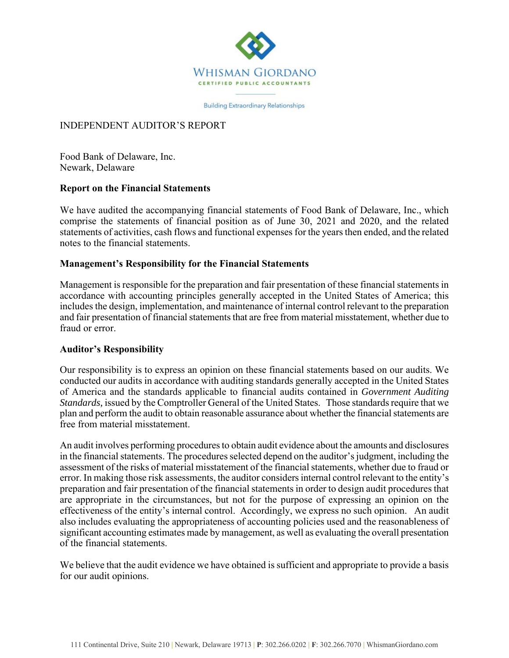

**Building Extraordinary Relationships** 

### INDEPENDENT AUDITOR'S REPORT

Food Bank of Delaware, Inc. Newark, Delaware

#### **Report on the Financial Statements**

We have audited the accompanying financial statements of Food Bank of Delaware, Inc., which comprise the statements of financial position as of June 30, 2021 and 2020, and the related statements of activities, cash flows and functional expenses for the years then ended, and the related notes to the financial statements.

#### **Management's Responsibility for the Financial Statements**

Management is responsible for the preparation and fair presentation of these financial statements in accordance with accounting principles generally accepted in the United States of America; this includes the design, implementation, and maintenance of internal control relevant to the preparation and fair presentation of financial statements that are free from material misstatement, whether due to fraud or error.

#### **Auditor's Responsibility**

Our responsibility is to express an opinion on these financial statements based on our audits. We conducted our audits in accordance with auditing standards generally accepted in the United States of America and the standards applicable to financial audits contained in *Government Auditing Standards,* issued by the Comptroller General of the United States. Those standards require that we plan and perform the audit to obtain reasonable assurance about whether the financial statements are free from material misstatement.

An audit involves performing procedures to obtain audit evidence about the amounts and disclosures in the financial statements. The procedures selected depend on the auditor's judgment, including the assessment of the risks of material misstatement of the financial statements, whether due to fraud or error. In making those risk assessments, the auditor considers internal control relevant to the entity's preparation and fair presentation of the financial statements in order to design audit procedures that are appropriate in the circumstances, but not for the purpose of expressing an opinion on the effectiveness of the entity's internal control. Accordingly, we express no such opinion. An audit also includes evaluating the appropriateness of accounting policies used and the reasonableness of significant accounting estimates made by management, as well as evaluating the overall presentation of the financial statements.

We believe that the audit evidence we have obtained is sufficient and appropriate to provide a basis for our audit opinions.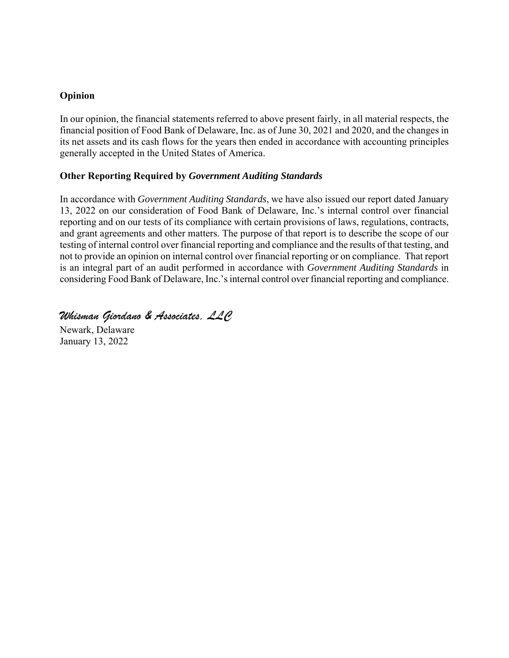### **Opinion**

In our opinion, the financial statements referred to above present fairly, in all material respects, the financial position of Food Bank of Delaware, Inc. as of June 30, 2021 and 2020, and the changes in its net assets and its cash flows for the years then ended in accordance with accounting principles generally accepted in the United States of America.

### **Other Reporting Required by** *Government Auditing Standards*

In accordance with *Government Auditing Standards*, we have also issued our report dated January 13, 2022 on our consideration of Food Bank of Delaware, Inc.'s internal control over financial reporting and on our tests of its compliance with certain provisions of laws, regulations, contracts, and grant agreements and other matters. The purpose of that report is to describe the scope of our testing of internal control over financial reporting and compliance and the results of that testing, and not to provide an opinion on internal control over financial reporting or on compliance. That report is an integral part of an audit performed in accordance with *Government Auditing Standards* in considering Food Bank of Delaware, Inc.'s internal control over financial reporting and compliance.

*Whisman Giordano & Associates, LLC*  Newark, Delaware

January 13, 2022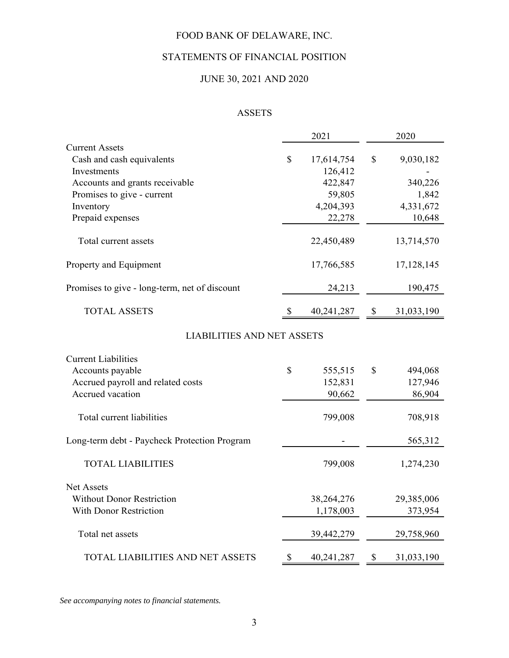# STATEMENTS OF FINANCIAL POSITION

# JUNE 30, 2021 AND 2020

### ASSETS

|                                               |                           | 2021       |              | 2020         |
|-----------------------------------------------|---------------------------|------------|--------------|--------------|
| <b>Current Assets</b>                         |                           |            |              |              |
| Cash and cash equivalents                     | \$                        | 17,614,754 | \$           | 9,030,182    |
| Investments                                   |                           | 126,412    |              |              |
| Accounts and grants receivable                |                           | 422,847    |              | 340,226      |
| Promises to give - current                    |                           | 59,805     |              | 1,842        |
| Inventory                                     |                           | 4,204,393  |              | 4,331,672    |
| Prepaid expenses                              |                           | 22,278     |              | 10,648       |
| Total current assets                          |                           | 22,450,489 |              | 13,714,570   |
| Property and Equipment                        |                           | 17,766,585 |              | 17, 128, 145 |
| Promises to give - long-term, net of discount |                           | 24,213     |              | 190,475      |
| <b>TOTAL ASSETS</b>                           | $\boldsymbol{\mathsf{S}}$ | 40,241,287 | $\mathbb{S}$ | 31,033,190   |
| <b>LIABILITIES AND NET ASSETS</b>             |                           |            |              |              |
| <b>Current Liabilities</b>                    |                           |            |              |              |
| Accounts payable                              | \$                        | 555,515    | \$           | 494,068      |
| Accrued payroll and related costs             |                           | 152,831    |              | 127,946      |
| Accrued vacation                              |                           | 90,662     |              | 86,904       |
| Total current liabilities                     |                           | 799,008    |              | 708,918      |
| Long-term debt - Paycheck Protection Program  |                           |            |              | 565,312      |
| <b>TOTAL LIABILITIES</b>                      |                           | 799,008    |              | 1,274,230    |
| Net Assets                                    |                           |            |              |              |
| <b>Without Donor Restriction</b>              |                           | 38,264,276 |              | 29,385,006   |
| <b>With Donor Restriction</b>                 |                           | 1,178,003  |              | 373,954      |
| Total net assets                              |                           | 39,442,279 |              | 29,758,960   |
| TOTAL LIABILITIES AND NET ASSETS              | \$                        | 40,241,287 | \$           | 31,033,190   |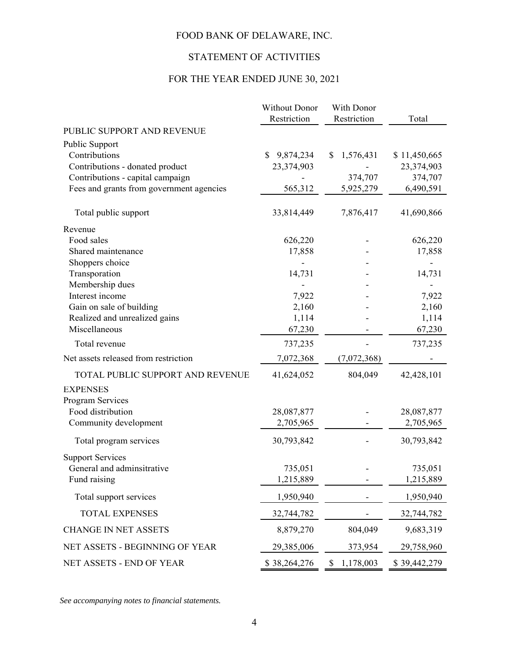# STATEMENT OF ACTIVITIES

# FOR THE YEAR ENDED JUNE 30, 2021

|                                          | <b>Without Donor</b> | With Donor      |              |
|------------------------------------------|----------------------|-----------------|--------------|
|                                          | Restriction          | Restriction     | Total        |
| PUBLIC SUPPORT AND REVENUE               |                      |                 |              |
| Public Support                           |                      |                 |              |
| Contributions                            | \$<br>9,874,234      | 1,576,431<br>\$ | \$11,450,665 |
| Contributions - donated product          | 23,374,903           |                 | 23,374,903   |
| Contributions - capital campaign         |                      | 374,707         | 374,707      |
| Fees and grants from government agencies | 565,312              | 5,925,279       | 6,490,591    |
| Total public support                     | 33,814,449           | 7,876,417       | 41,690,866   |
| Revenue                                  |                      |                 |              |
| Food sales                               | 626,220              |                 | 626,220      |
| Shared maintenance                       | 17,858               |                 | 17,858       |
| Shoppers choice                          |                      |                 |              |
| Transporation                            | 14,731               |                 | 14,731       |
| Membership dues                          |                      |                 |              |
| Interest income                          | 7,922                |                 | 7,922        |
| Gain on sale of building                 | 2,160                |                 | 2,160        |
| Realized and unrealized gains            | 1,114                |                 | 1,114        |
| Miscellaneous                            | 67,230               |                 | 67,230       |
| Total revenue                            | 737,235              |                 | 737,235      |
| Net assets released from restriction     | 7,072,368            | (7,072,368)     |              |
| TOTAL PUBLIC SUPPORT AND REVENUE         | 41,624,052           | 804,049         | 42,428,101   |
| <b>EXPENSES</b>                          |                      |                 |              |
| Program Services                         |                      |                 |              |
| Food distribution                        | 28,087,877           |                 | 28,087,877   |
| Community development                    | 2,705,965            |                 | 2,705,965    |
| Total program services                   | 30,793,842           |                 | 30,793,842   |
| <b>Support Services</b>                  |                      |                 |              |
| General and adminsitrative               | 735,051              |                 | 735,051      |
| Fund raising                             | 1,215,889            |                 | 1,215,889    |
| Total support services                   | 1,950,940            |                 | 1,950,940    |
| <b>TOTAL EXPENSES</b>                    | 32,744,782           |                 | 32,744,782   |
| <b>CHANGE IN NET ASSETS</b>              | 8,879,270            | 804,049         | 9,683,319    |
| NET ASSETS - BEGINNING OF YEAR           | 29,385,006           | 373,954         | 29,758,960   |
| NET ASSETS - END OF YEAR                 | \$38,264,276         | \$<br>1,178,003 | \$39,442,279 |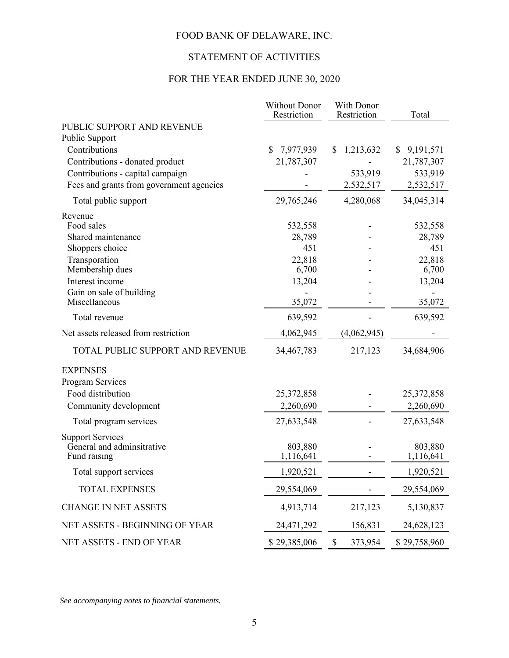# STATEMENT OF ACTIVITIES

# FOR THE YEAR ENDED JUNE 30, 2020

|                                           | Without Donor<br>Restriction | With Donor<br>Restriction | Total             |
|-------------------------------------------|------------------------------|---------------------------|-------------------|
| PUBLIC SUPPORT AND REVENUE                |                              |                           |                   |
| Public Support                            |                              |                           |                   |
| Contributions                             | $\mathcal{S}$<br>7,977,939   | 1,213,632<br>\$           | \$<br>9, 191, 571 |
| Contributions - donated product           | 21,787,307                   |                           | 21,787,307        |
| Contributions - capital campaign          |                              | 533,919                   | 533,919           |
| Fees and grants from government agencies  |                              | 2,532,517                 | 2,532,517         |
| Total public support                      | 29,765,246                   | 4,280,068                 | 34,045,314        |
| Revenue                                   |                              |                           |                   |
| Food sales                                | 532,558                      |                           | 532,558           |
| Shared maintenance                        | 28,789                       |                           | 28,789            |
| Shoppers choice                           | 451                          |                           | 451               |
| Transporation                             | 22,818                       |                           | 22,818            |
| Membership dues                           | 6,700                        |                           | 6,700             |
| Interest income                           | 13,204                       |                           | 13,204            |
| Gain on sale of building<br>Miscellaneous | 35,072                       |                           | 35,072            |
| Total revenue                             | 639,592                      |                           | 639,592           |
| Net assets released from restriction      | 4,062,945                    | (4,062,945)               |                   |
| TOTAL PUBLIC SUPPORT AND REVENUE          | 34,467,783                   | 217,123                   | 34,684,906        |
| <b>EXPENSES</b>                           |                              |                           |                   |
| Program Services                          |                              |                           |                   |
| Food distribution                         | 25,372,858                   |                           | 25,372,858        |
| Community development                     | 2,260,690                    |                           | 2,260,690         |
| Total program services                    | 27,633,548                   |                           | 27,633,548        |
| <b>Support Services</b>                   |                              |                           |                   |
| General and adminsitrative                | 803,880                      |                           | 803,880           |
| Fund raising                              | 1,116,641                    |                           | 1,116,641         |
| Total support services                    | 1,920,521                    |                           | 1,920,521         |
| <b>TOTAL EXPENSES</b>                     | 29,554,069                   |                           | 29,554,069        |
| <b>CHANGE IN NET ASSETS</b>               | 4,913,714                    | 217,123                   | 5,130,837         |
| NET ASSETS - BEGINNING OF YEAR            | 24,471,292                   | 156,831                   | 24,628,123        |
| NET ASSETS - END OF YEAR                  | \$29,385,006                 | \$<br>373,954             | \$29,758,960      |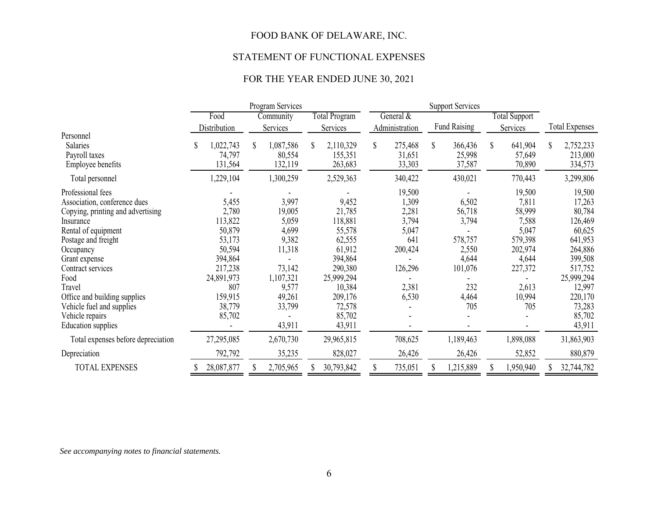#### STATEMENT OF FUNCTIONAL EXPENSES

### FOR THE YEAR ENDED JUNE 30, 2021

|                                    | Program Services |                     |   | <b>Support Services</b> |   |                      |              |                |    |                     |    |               |   |                       |
|------------------------------------|------------------|---------------------|---|-------------------------|---|----------------------|--------------|----------------|----|---------------------|----|---------------|---|-----------------------|
|                                    |                  | Food                |   | Community               |   | <b>Total Program</b> |              | General &      |    |                     |    | Total Support |   |                       |
|                                    |                  | <b>Distribution</b> |   | Services                |   | <b>Services</b>      |              | Administration |    | <b>Fund Raising</b> |    | Services      |   | <b>Total Expenses</b> |
| Personnel                          |                  |                     |   |                         |   |                      |              |                |    |                     |    |               |   |                       |
| <b>Salaries</b>                    |                  | 1,022,743           | S | 1,087,586               | S | 2,110,329            | $\mathbb{S}$ | 275,468        | \$ | 366,436             | \$ | 641,904       | S | 2,752,233             |
| Payroll taxes                      |                  | 74,797              |   | 80,554                  |   | 155,351              |              | 31,651         |    | 25,998              |    | 57,649        |   | 213,000               |
| Employee benefits                  |                  | 131,564             |   | 132,119                 |   | 263,683              |              | 33,303         |    | 37,587              |    | 70,890        |   | 334,573               |
| Total personnel                    |                  | 1,229,104           |   | 1,300,259               |   | 2,529,363            |              | 340,422        |    | 430,021             |    | 770,443       |   | 3,299,806             |
| Professional fees                  |                  |                     |   |                         |   |                      |              | 19,500         |    |                     |    | 19,500        |   | 19,500                |
| Association, conference dues       |                  | 5,455               |   | 3,997                   |   | 9,452                |              | 1,309          |    | 6,502               |    | 7,811         |   | 17,263                |
| Copying, printing and advertising  |                  | 2,780               |   | 19,005                  |   | 21,785               |              | 2,281          |    | 56,718              |    | 58,999        |   | 80,784                |
| Insurance                          |                  | 113,822             |   | 5,059                   |   | 118,881              |              | 3,794          |    | 3,794               |    | 7,588         |   | 126,469               |
| Rental of equipment                |                  | 50,879              |   | 4,699                   |   | 55,578               |              | 5,047          |    |                     |    | 5,047         |   | 60,625                |
| Postage and freight                |                  | 53,173              |   | 9,382                   |   | 62,555               |              | 641            |    | 578,757             |    | 579,398       |   | 641,953               |
| Occupancy                          |                  | 50,594              |   | 11,318                  |   | 61,912               |              | 200,424        |    | 2,550               |    | 202,974       |   | 264,886               |
| Grant expense                      |                  | 394,864             |   |                         |   | 394,864              |              |                |    | 4,644               |    | 4,644         |   | 399,508               |
| Contract services                  |                  | 217,238             |   | 73,142                  |   | 290,380              |              | 126,296        |    | 101,076             |    | 227,372       |   | 517,752               |
| Food                               |                  | 24,891,973          |   | 1,107,321               |   | 25,999,294           |              |                |    |                     |    |               |   | 25,999,294            |
| Travel                             |                  | 807                 |   | 9,577                   |   | 10,384               |              | 2,381          |    | 232                 |    | 2,613         |   | 12,997                |
| Office and building supplies       |                  | 159,915             |   | 49,261                  |   | 209,176              |              | 6,530          |    | 4,464               |    | 10,994        |   | 220,170               |
| Vehicle fuel and supplies          |                  | 38,779              |   | 33,799                  |   | 72,578               |              |                |    | 705                 |    | 705           |   | 73,283                |
| Vehicle repairs                    |                  | 85,702              |   |                         |   | 85,702               |              |                |    |                     |    |               |   | 85,702                |
| <b>Education</b> supplies          |                  |                     |   | 43,911                  |   | 43,911               |              |                |    |                     |    |               |   | 43,911                |
| Total expenses before depreciation |                  | 27,295,085          |   | 2,670,730               |   | 29,965,815           |              | 708,625        |    | 1,189,463           |    | 1,898,088     |   | 31,863,903            |
| Depreciation                       |                  | 792,792             |   | 35,235                  |   | 828,027              |              | 26,426         |    | 26,426              |    | 52,852        |   | 880,879               |
| <b>TOTAL EXPENSES</b>              |                  | 28,087,877          |   | 2,705,965               |   | 30,793,842           | \$           | 735,051        |    | 1,215,889           |    | 1,950,940     |   | 32,744,782            |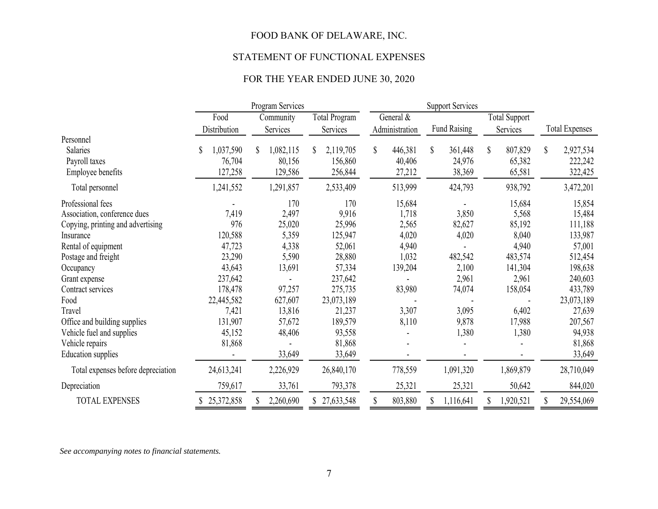#### STATEMENT OF FUNCTIONAL EXPENSES

# FOR THE YEAR ENDED JUNE 30, 2020

|                                    |                 | Program Services |                      |                |                                      |               |                                        |
|------------------------------------|-----------------|------------------|----------------------|----------------|--------------------------------------|---------------|----------------------------------------|
|                                    | Food            | Community        | <b>Total Program</b> | General &      |                                      | Total Support |                                        |
|                                    | Distribution    | Services         | Services             | Administration | <b>Fund Raising</b>                  | Services      | <b>Total Expenses</b>                  |
| Personnel                          |                 |                  |                      |                |                                      |               |                                        |
| <b>Salaries</b>                    | \$<br>1,037,590 | 1,082,115<br>\$  | 2,119,705<br>\$      | \$<br>446,381  | $\boldsymbol{\mathsf{S}}$<br>361,448 | \$<br>807,829 | $\boldsymbol{\mathsf{S}}$<br>2,927,534 |
| Payroll taxes                      | 76,704          | 80,156           | 156,860              | 40,406         | 24,976                               | 65,382        | 222,242                                |
| <b>Employee benefits</b>           | 127,258         | 129,586          | 256,844              | 27,212         | 38,369                               | 65,581        | 322,425                                |
| Total personnel                    | 1,241,552       | 1,291,857        | 2,533,409            | 513,999        | 424,793                              | 938,792       | 3,472,201                              |
| Professional fees                  |                 | 170              | 170                  | 15,684         |                                      | 15,684        | 15,854                                 |
| Association, conference dues       | 7,419           | 2,497            | 9,916                | 1,718          | 3,850                                | 5,568         | 15,484                                 |
| Copying, printing and advertising  | 976             | 25,020           | 25,996               | 2,565          | 82,627                               | 85,192        | 111,188                                |
| Insurance                          | 120,588         | 5,359            | 125,947              | 4,020          | 4,020                                | 8,040         | 133,987                                |
| Rental of equipment                | 47,723          | 4,338            | 52,061               | 4,940          |                                      | 4,940         | 57,001                                 |
| Postage and freight                | 23,290          | 5,590            | 28,880               | 1,032          | 482,542                              | 483,574       | 512,454                                |
| Occupancy                          | 43,643          | 13,691           | 57,334               | 139,204        | 2,100                                | 141,304       | 198,638                                |
| Grant expense                      | 237,642         |                  | 237,642              |                | 2,961                                | 2,961         | 240,603                                |
| Contract services                  | 178,478         | 97,257           | 275,735              | 83,980         | 74,074                               | 158,054       | 433,789                                |
| Food                               | 22,445,582      | 627,607          | 23,073,189           |                |                                      |               | 23,073,189                             |
| Travel                             | 7,421           | 13,816           | 21,237               | 3,307          | 3,095                                | 6,402         | 27,639                                 |
| Office and building supplies       | 131,907         | 57,672           | 189,579              | 8,110          | 9,878                                | 17,988        | 207,567                                |
| Vehicle fuel and supplies          | 45,152          | 48,406           | 93,558               |                | 1,380                                | 1,380         | 94,938                                 |
| Vehicle repairs                    | 81,868          |                  | 81,868               |                |                                      |               | 81,868                                 |
| <b>Education</b> supplies          |                 | 33,649           | 33,649               |                |                                      |               | 33,649                                 |
| Total expenses before depreciation | 24,613,241      | 2,226,929        | 26,840,170           | 778,559        | 1,091,320                            | 1,869,879     | 28,710,049                             |
| Depreciation                       | 759,617         | 33,761           | 793,378              | 25,321         | 25,321                               | 50,642        | 844,020                                |
| <b>TOTAL EXPENSES</b>              | 25,372,858      | 2,260,690        | 27,633,548           | 803,880        | 1,116,641                            | 1,920,521     | 29,554,069                             |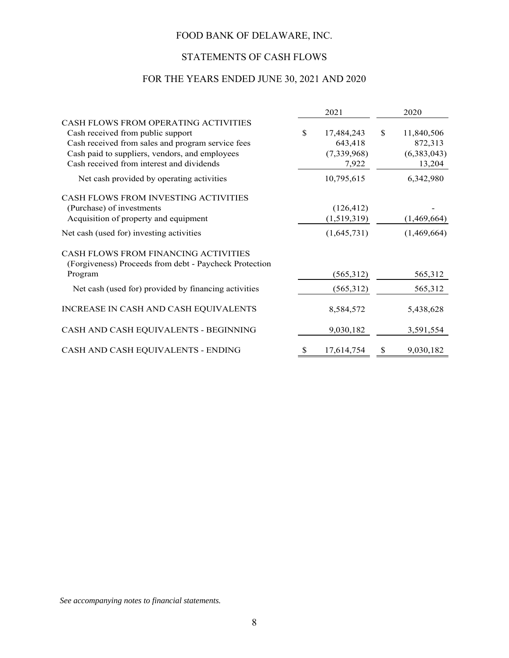# STATEMENTS OF CASH FLOWS

# FOR THE YEARS ENDED JUNE 30, 2021 AND 2020

|                                                                                                                                                                                                                               | 2021                                                |    | 2020                                           |
|-------------------------------------------------------------------------------------------------------------------------------------------------------------------------------------------------------------------------------|-----------------------------------------------------|----|------------------------------------------------|
| CASH FLOWS FROM OPERATING ACTIVITIES<br>Cash received from public support<br>Cash received from sales and program service fees<br>Cash paid to suppliers, vendors, and employees<br>Cash received from interest and dividends | \$<br>17,484,243<br>643,418<br>(7,339,968)<br>7,922 | \$ | 11,840,506<br>872,313<br>(6,383,043)<br>13,204 |
| Net cash provided by operating activities                                                                                                                                                                                     | 10,795,615                                          |    | 6,342,980                                      |
| CASH FLOWS FROM INVESTING ACTIVITIES<br>(Purchase) of investments<br>Acquisition of property and equipment                                                                                                                    | (126, 412)<br>(1,519,319)                           |    | (1,469,664)                                    |
| Net cash (used for) investing activities                                                                                                                                                                                      | (1,645,731)                                         |    | (1,469,664)                                    |
| CASH FLOWS FROM FINANCING ACTIVITIES<br>(Forgiveness) Proceeds from debt - Paycheck Protection<br>Program<br>Net cash (used for) provided by financing activities                                                             | (565,312)<br>(565,312)                              |    | 565,312<br>565,312                             |
| INCREASE IN CASH AND CASH EQUIVALENTS                                                                                                                                                                                         | 8,584,572                                           |    | 5,438,628                                      |
| CASH AND CASH EQUIVALENTS - BEGINNING                                                                                                                                                                                         | 9,030,182                                           |    | 3,591,554                                      |
| CASH AND CASH EQUIVALENTS - ENDING                                                                                                                                                                                            | 17,614,754                                          | S  | 9,030,182                                      |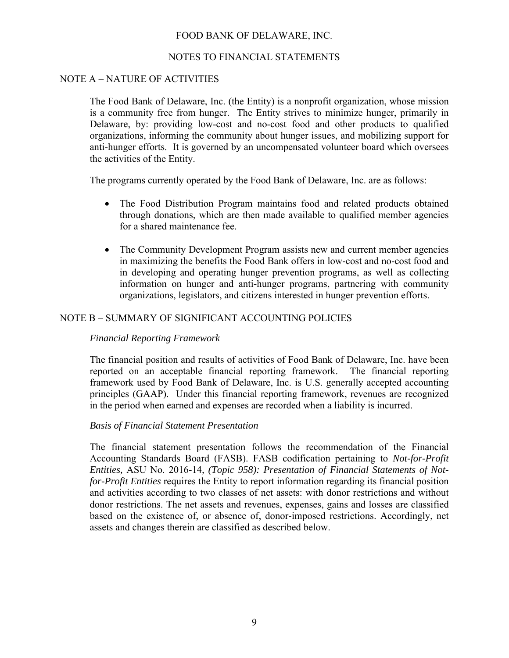#### NOTES TO FINANCIAL STATEMENTS

#### NOTE A – NATURE OF ACTIVITIES

The Food Bank of Delaware, Inc. (the Entity) is a nonprofit organization, whose mission is a community free from hunger. The Entity strives to minimize hunger, primarily in Delaware, by: providing low-cost and no-cost food and other products to qualified organizations, informing the community about hunger issues, and mobilizing support for anti-hunger efforts. It is governed by an uncompensated volunteer board which oversees the activities of the Entity.

The programs currently operated by the Food Bank of Delaware, Inc. are as follows:

- The Food Distribution Program maintains food and related products obtained through donations, which are then made available to qualified member agencies for a shared maintenance fee.
- The Community Development Program assists new and current member agencies in maximizing the benefits the Food Bank offers in low-cost and no-cost food and in developing and operating hunger prevention programs, as well as collecting information on hunger and anti-hunger programs, partnering with community organizations, legislators, and citizens interested in hunger prevention efforts.

#### NOTE B – SUMMARY OF SIGNIFICANT ACCOUNTING POLICIES

#### *Financial Reporting Framework*

The financial position and results of activities of Food Bank of Delaware, Inc. have been reported on an acceptable financial reporting framework. The financial reporting framework used by Food Bank of Delaware, Inc. is U.S. generally accepted accounting principles (GAAP). Under this financial reporting framework, revenues are recognized in the period when earned and expenses are recorded when a liability is incurred.

#### *Basis of Financial Statement Presentation*

The financial statement presentation follows the recommendation of the Financial Accounting Standards Board (FASB). FASB codification pertaining to *Not-for-Profit Entities,* ASU No. 2016-14, *(Topic 958): Presentation of Financial Statements of Notfor-Profit Entities* requires the Entity to report information regarding its financial position and activities according to two classes of net assets: with donor restrictions and without donor restrictions. The net assets and revenues, expenses, gains and losses are classified based on the existence of, or absence of, donor-imposed restrictions. Accordingly, net assets and changes therein are classified as described below.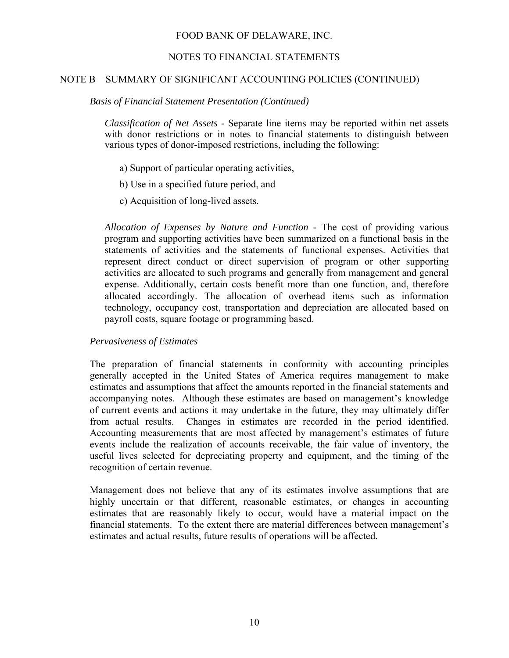### NOTES TO FINANCIAL STATEMENTS

#### NOTE B – SUMMARY OF SIGNIFICANT ACCOUNTING POLICIES (CONTINUED)

*Basis of Financial Statement Presentation (Continued)* 

*Classification of Net Assets -* Separate line items may be reported within net assets with donor restrictions or in notes to financial statements to distinguish between various types of donor-imposed restrictions, including the following:

- a) Support of particular operating activities,
- b) Use in a specified future period, and
- c) Acquisition of long-lived assets.

*Allocation of Expenses by Nature and Function -* The cost of providing various program and supporting activities have been summarized on a functional basis in the statements of activities and the statements of functional expenses. Activities that represent direct conduct or direct supervision of program or other supporting activities are allocated to such programs and generally from management and general expense. Additionally, certain costs benefit more than one function, and, therefore allocated accordingly. The allocation of overhead items such as information technology, occupancy cost, transportation and depreciation are allocated based on payroll costs, square footage or programming based.

#### *Pervasiveness of Estimates*

The preparation of financial statements in conformity with accounting principles generally accepted in the United States of America requires management to make estimates and assumptions that affect the amounts reported in the financial statements and accompanying notes. Although these estimates are based on management's knowledge of current events and actions it may undertake in the future, they may ultimately differ from actual results. Changes in estimates are recorded in the period identified. Accounting measurements that are most affected by management's estimates of future events include the realization of accounts receivable, the fair value of inventory, the useful lives selected for depreciating property and equipment, and the timing of the recognition of certain revenue.

Management does not believe that any of its estimates involve assumptions that are highly uncertain or that different, reasonable estimates, or changes in accounting estimates that are reasonably likely to occur, would have a material impact on the financial statements. To the extent there are material differences between management's estimates and actual results, future results of operations will be affected.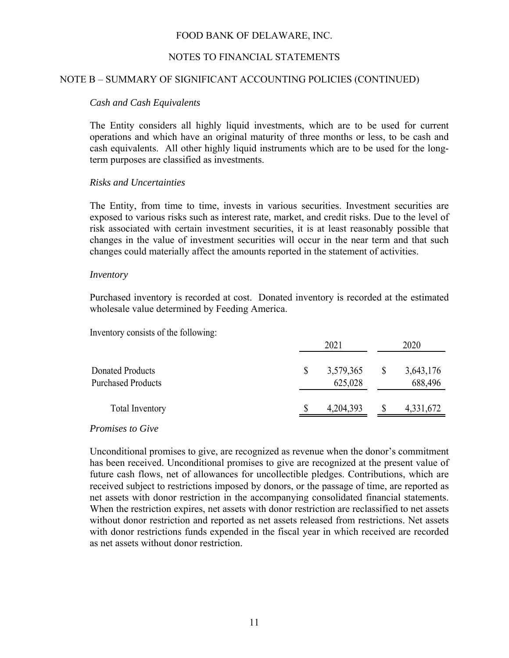### NOTES TO FINANCIAL STATEMENTS

#### NOTE B – SUMMARY OF SIGNIFICANT ACCOUNTING POLICIES (CONTINUED)

#### *Cash and Cash Equivalents*

The Entity considers all highly liquid investments, which are to be used for current operations and which have an original maturity of three months or less, to be cash and cash equivalents. All other highly liquid instruments which are to be used for the longterm purposes are classified as investments.

#### *Risks and Uncertainties*

The Entity, from time to time, invests in various securities. Investment securities are exposed to various risks such as interest rate, market, and credit risks. Due to the level of risk associated with certain investment securities, it is at least reasonably possible that changes in the value of investment securities will occur in the near term and that such changes could materially affect the amounts reported in the statement of activities.

#### *Inventory*

Purchased inventory is recorded at cost. Donated inventory is recorded at the estimated wholesale value determined by Feeding America.

Inventory consists of the following:

|                                               | 2021                 | 2020                 |
|-----------------------------------------------|----------------------|----------------------|
| Donated Products<br><b>Purchased Products</b> | 3,579,365<br>625,028 | 3,643,176<br>688,496 |
| <b>Total Inventory</b>                        | 4,204,393            | 4,331,672            |

#### *Promises to Give*

Unconditional promises to give, are recognized as revenue when the donor's commitment has been received. Unconditional promises to give are recognized at the present value of future cash flows, net of allowances for uncollectible pledges. Contributions, which are received subject to restrictions imposed by donors, or the passage of time, are reported as net assets with donor restriction in the accompanying consolidated financial statements. When the restriction expires, net assets with donor restriction are reclassified to net assets without donor restriction and reported as net assets released from restrictions. Net assets with donor restrictions funds expended in the fiscal year in which received are recorded as net assets without donor restriction.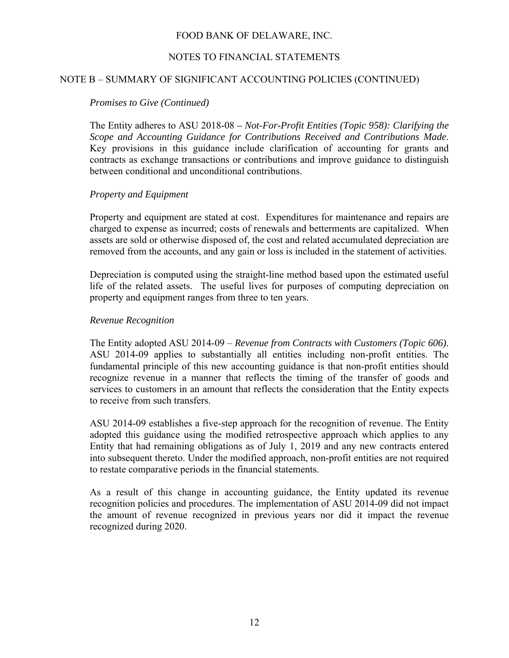### NOTES TO FINANCIAL STATEMENTS

#### NOTE B – SUMMARY OF SIGNIFICANT ACCOUNTING POLICIES (CONTINUED)

#### *Promises to Give (Continued)*

The Entity adheres to ASU 2018-08 *– Not-For-Profit Entities (Topic 958): Clarifying the Scope and Accounting Guidance for Contributions Received and Contributions Made*. Key provisions in this guidance include clarification of accounting for grants and contracts as exchange transactions or contributions and improve guidance to distinguish between conditional and unconditional contributions.

#### *Property and Equipment*

Property and equipment are stated at cost. Expenditures for maintenance and repairs are charged to expense as incurred; costs of renewals and betterments are capitalized. When assets are sold or otherwise disposed of, the cost and related accumulated depreciation are removed from the accounts, and any gain or loss is included in the statement of activities.

Depreciation is computed using the straight-line method based upon the estimated useful life of the related assets. The useful lives for purposes of computing depreciation on property and equipment ranges from three to ten years.

#### *Revenue Recognition*

The Entity adopted ASU 2014-09 – *Revenue from Contracts with Customers (Topic 606)*. ASU 2014-09 applies to substantially all entities including non-profit entities. The fundamental principle of this new accounting guidance is that non-profit entities should recognize revenue in a manner that reflects the timing of the transfer of goods and services to customers in an amount that reflects the consideration that the Entity expects to receive from such transfers.

ASU 2014-09 establishes a five-step approach for the recognition of revenue. The Entity adopted this guidance using the modified retrospective approach which applies to any Entity that had remaining obligations as of July 1, 2019 and any new contracts entered into subsequent thereto. Under the modified approach, non-profit entities are not required to restate comparative periods in the financial statements.

As a result of this change in accounting guidance, the Entity updated its revenue recognition policies and procedures. The implementation of ASU 2014-09 did not impact the amount of revenue recognized in previous years nor did it impact the revenue recognized during 2020.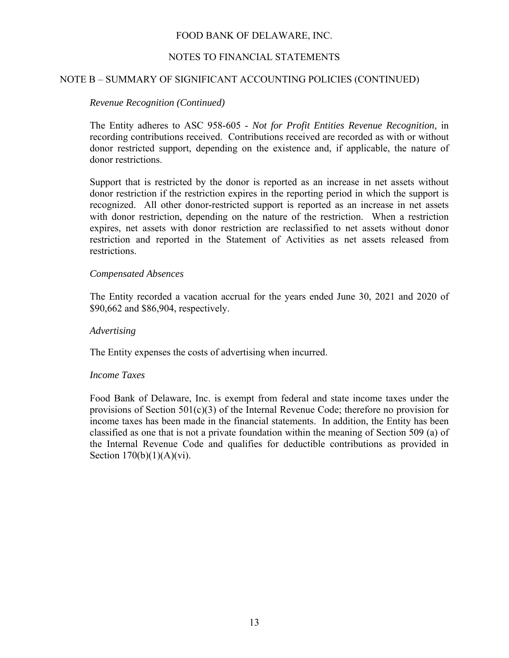### NOTES TO FINANCIAL STATEMENTS

#### NOTE B – SUMMARY OF SIGNIFICANT ACCOUNTING POLICIES (CONTINUED)

#### *Revenue Recognition (Continued)*

The Entity adheres to ASC 958-605 - *Not for Profit Entities Revenue Recognition,* in recording contributions received. Contributions received are recorded as with or without donor restricted support, depending on the existence and, if applicable, the nature of donor restrictions.

Support that is restricted by the donor is reported as an increase in net assets without donor restriction if the restriction expires in the reporting period in which the support is recognized. All other donor-restricted support is reported as an increase in net assets with donor restriction, depending on the nature of the restriction. When a restriction expires, net assets with donor restriction are reclassified to net assets without donor restriction and reported in the Statement of Activities as net assets released from restrictions.

#### *Compensated Absences*

The Entity recorded a vacation accrual for the years ended June 30, 2021 and 2020 of \$90,662 and \$86,904, respectively.

#### *Advertising*

The Entity expenses the costs of advertising when incurred.

#### *Income Taxes*

Food Bank of Delaware, Inc. is exempt from federal and state income taxes under the provisions of Section 501(c)(3) of the Internal Revenue Code; therefore no provision for income taxes has been made in the financial statements. In addition, the Entity has been classified as one that is not a private foundation within the meaning of Section 509 (a) of the Internal Revenue Code and qualifies for deductible contributions as provided in Section  $170(b)(1)(A)(vi)$ .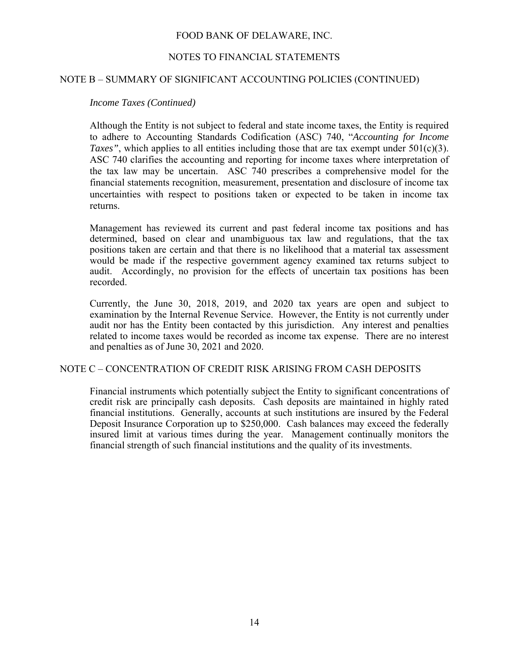### NOTES TO FINANCIAL STATEMENTS

#### NOTE B – SUMMARY OF SIGNIFICANT ACCOUNTING POLICIES (CONTINUED)

#### *Income Taxes (Continued)*

Although the Entity is not subject to federal and state income taxes, the Entity is required to adhere to Accounting Standards Codification (ASC) 740, "*Accounting for Income Taxes*", which applies to all entities including those that are tax exempt under 501(c)(3). ASC 740 clarifies the accounting and reporting for income taxes where interpretation of the tax law may be uncertain. ASC 740 prescribes a comprehensive model for the financial statements recognition, measurement, presentation and disclosure of income tax uncertainties with respect to positions taken or expected to be taken in income tax returns.

Management has reviewed its current and past federal income tax positions and has determined, based on clear and unambiguous tax law and regulations, that the tax positions taken are certain and that there is no likelihood that a material tax assessment would be made if the respective government agency examined tax returns subject to audit. Accordingly, no provision for the effects of uncertain tax positions has been recorded.

Currently, the June 30, 2018, 2019, and 2020 tax years are open and subject to examination by the Internal Revenue Service. However, the Entity is not currently under audit nor has the Entity been contacted by this jurisdiction. Any interest and penalties related to income taxes would be recorded as income tax expense. There are no interest and penalties as of June 30, 2021 and 2020.

#### NOTE C – CONCENTRATION OF CREDIT RISK ARISING FROM CASH DEPOSITS

Financial instruments which potentially subject the Entity to significant concentrations of credit risk are principally cash deposits. Cash deposits are maintained in highly rated financial institutions. Generally, accounts at such institutions are insured by the Federal Deposit Insurance Corporation up to \$250,000. Cash balances may exceed the federally insured limit at various times during the year. Management continually monitors the financial strength of such financial institutions and the quality of its investments.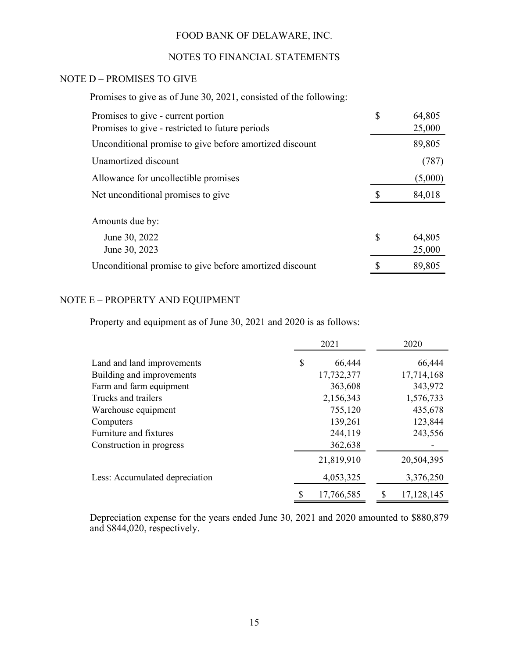### NOTES TO FINANCIAL STATEMENTS

### NOTE D – PROMISES TO GIVE

Promises to give as of June 30, 2021, consisted of the following:

| Promises to give - current portion<br>Promises to give - restricted to future periods | \$ | 64,805<br>25,000 |
|---------------------------------------------------------------------------------------|----|------------------|
| Unconditional promise to give before amortized discount                               |    | 89,805           |
| Unamortized discount                                                                  |    | (787)            |
| Allowance for uncollectible promises                                                  |    | (5,000)          |
| Net unconditional promises to give                                                    |    | 84,018           |
| Amounts due by:                                                                       |    |                  |
| June 30, 2022                                                                         | \$ | 64,805           |
| June 30, 2023                                                                         |    | 25,000           |
| Unconditional promise to give before amortized discount                               | S  | 89,805           |

### NOTE E – PROPERTY AND EQUIPMENT

Property and equipment as of June 30, 2021 and 2020 is as follows:

|                                | 2021             | 2020         |
|--------------------------------|------------------|--------------|
| Land and land improvements     | \$<br>66,444     | 66,444       |
| Building and improvements      | 17,732,377       | 17,714,168   |
| Farm and farm equipment        | 363,608          | 343,972      |
| Trucks and trailers            | 2,156,343        | 1,576,733    |
| Warehouse equipment            | 755,120          | 435,678      |
| Computers                      | 139,261          | 123,844      |
| Furniture and fixtures         | 244,119          | 243,556      |
| Construction in progress       | 362,638          |              |
|                                | 21,819,910       | 20,504,395   |
| Less: Accumulated depreciation | 4,053,325        | 3,376,250    |
|                                | \$<br>17,766,585 | 17, 128, 145 |

Depreciation expense for the years ended June 30, 2021 and 2020 amounted to \$880,879 and \$844,020, respectively.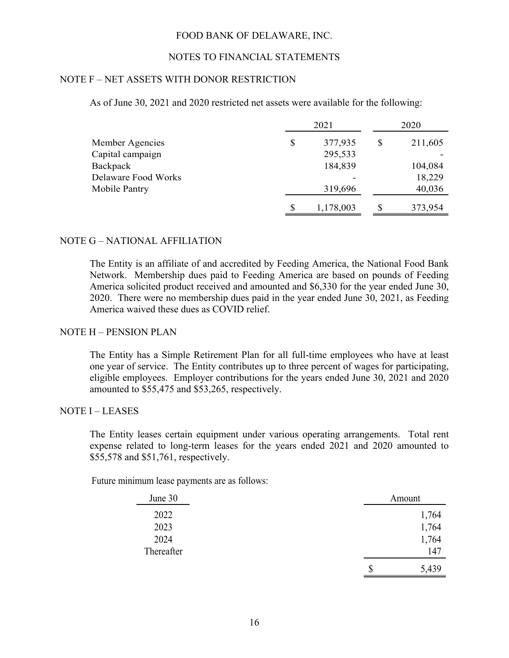#### NOTES TO FINANCIAL STATEMENTS

### NOTE F – NET ASSETS WITH DONOR RESTRICTION

As of June 30, 2021 and 2020 restricted net assets were available for the following:

|                     | 2021 |           | 2020 |         |
|---------------------|------|-----------|------|---------|
| Member Agencies     | \$   | 377,935   | S    | 211,605 |
| Capital campaign    |      | 295,533   |      |         |
| Backpack            |      | 184,839   |      | 104,084 |
| Delaware Food Works |      |           |      | 18,229  |
| Mobile Pantry       |      | 319,696   |      | 40,036  |
|                     | \$   | 1,178,003 | S    | 373,954 |

#### NOTE G – NATIONAL AFFILIATION

The Entity is an affiliate of and accredited by Feeding America, the National Food Bank Network. Membership dues paid to Feeding America are based on pounds of Feeding America solicited product received and amounted and \$6,330 for the year ended June 30, 2020. There were no membership dues paid in the year ended June 30, 2021, as Feeding America waived these dues as COVID relief.

#### NOTE H – PENSION PLAN

The Entity has a Simple Retirement Plan for all full-time employees who have at least one year of service. The Entity contributes up to three percent of wages for participating, eligible employees. Employer contributions for the years ended June 30, 2021 and 2020 amounted to \$55,475 and \$53,265, respectively.

#### NOTE I – LEASES

The Entity leases certain equipment under various operating arrangements. Total rent expense related to long-term leases for the years ended 2021 and 2020 amounted to \$55,578 and \$51,761, respectively.

Future minimum lease payments are as follows:

| June 30    | Amount |       |
|------------|--------|-------|
| 2022       |        | 1,764 |
| 2023       |        | 1,764 |
| 2024       |        | 1,764 |
| Thereafter |        | 147   |
|            | \$     | 5,439 |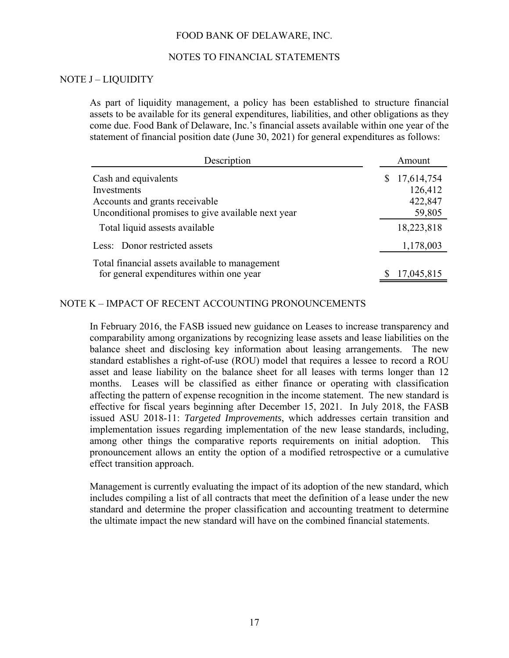#### NOTES TO FINANCIAL STATEMENTS

#### NOTE J – LIQUIDITY

As part of liquidity management, a policy has been established to structure financial assets to be available for its general expenditures, liabilities, and other obligations as they come due. Food Bank of Delaware, Inc.'s financial assets available within one year of the statement of financial position date (June 30, 2021) for general expenditures as follows:

| Description                                                                                | Amount     |
|--------------------------------------------------------------------------------------------|------------|
| Cash and equivalents                                                                       | 17,614,754 |
| Investments                                                                                | 126,412    |
| Accounts and grants receivable                                                             | 422,847    |
| Unconditional promises to give available next year                                         | 59,805     |
| Total liquid assests available                                                             | 18,223,818 |
| Less: Donor restricted assets                                                              | 1,178,003  |
| Total financial assets available to management<br>for general expenditures within one year | 17,045,815 |

#### NOTE K – IMPACT OF RECENT ACCOUNTING PRONOUNCEMENTS

In February 2016, the FASB issued new guidance on Leases to increase transparency and comparability among organizations by recognizing lease assets and lease liabilities on the balance sheet and disclosing key information about leasing arrangements. The new standard establishes a right-of-use (ROU) model that requires a lessee to record a ROU asset and lease liability on the balance sheet for all leases with terms longer than 12 months. Leases will be classified as either finance or operating with classification affecting the pattern of expense recognition in the income statement. The new standard is effective for fiscal years beginning after December 15, 2021. In July 2018, the FASB issued ASU 2018-11: *Targeted Improvements*, which addresses certain transition and implementation issues regarding implementation of the new lease standards, including, among other things the comparative reports requirements on initial adoption. This pronouncement allows an entity the option of a modified retrospective or a cumulative effect transition approach.

Management is currently evaluating the impact of its adoption of the new standard, which includes compiling a list of all contracts that meet the definition of a lease under the new standard and determine the proper classification and accounting treatment to determine the ultimate impact the new standard will have on the combined financial statements.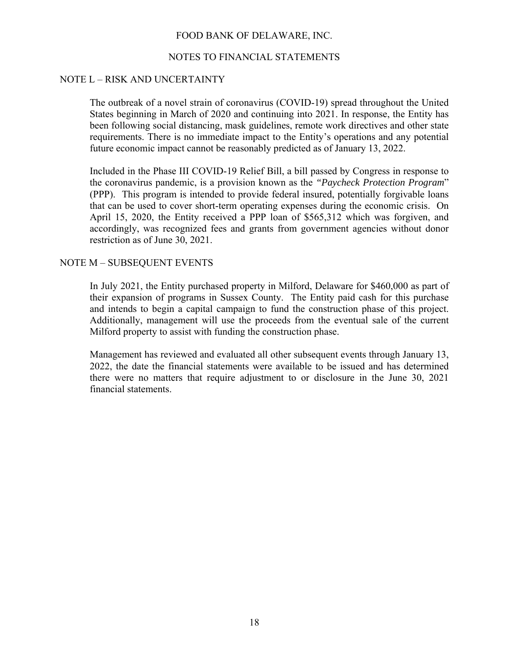#### NOTES TO FINANCIAL STATEMENTS

### NOTE L – RISK AND UNCERTAINTY

The outbreak of a novel strain of coronavirus (COVID-19) spread throughout the United States beginning in March of 2020 and continuing into 2021. In response, the Entity has been following social distancing, mask guidelines, remote work directives and other state requirements. There is no immediate impact to the Entity's operations and any potential future economic impact cannot be reasonably predicted as of January 13, 2022.

Included in the Phase III COVID-19 Relief Bill, a bill passed by Congress in response to the coronavirus pandemic, is a provision known as the *"Paycheck Protection Program*" (PPP). This program is intended to provide federal insured, potentially forgivable loans that can be used to cover short-term operating expenses during the economic crisis. On April 15, 2020, the Entity received a PPP loan of \$565,312 which was forgiven, and accordingly, was recognized fees and grants from government agencies without donor restriction as of June 30, 2021.

#### NOTE M – SUBSEQUENT EVENTS

In July 2021, the Entity purchased property in Milford, Delaware for \$460,000 as part of their expansion of programs in Sussex County. The Entity paid cash for this purchase and intends to begin a capital campaign to fund the construction phase of this project. Additionally, management will use the proceeds from the eventual sale of the current Milford property to assist with funding the construction phase.

Management has reviewed and evaluated all other subsequent events through January 13, 2022, the date the financial statements were available to be issued and has determined there were no matters that require adjustment to or disclosure in the June 30, 2021 financial statements.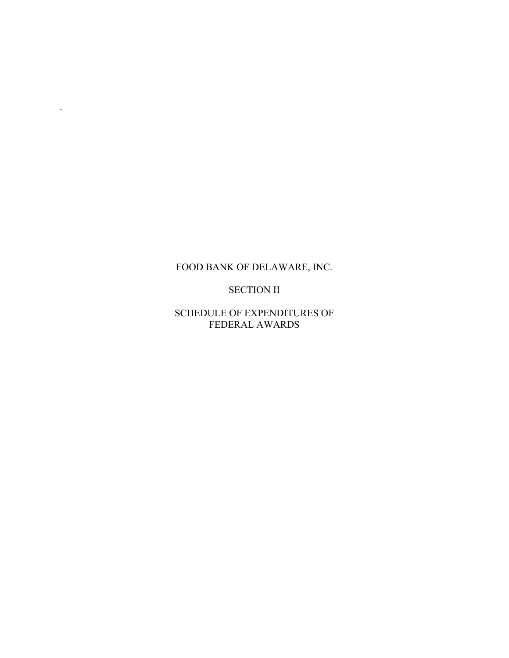.

SECTION II

 SCHEDULE OF EXPENDITURES OF FEDERAL AWARDS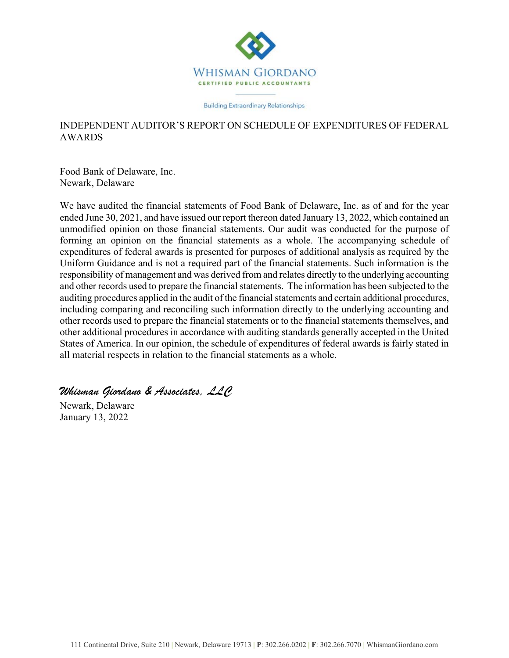

**Building Extraordinary Relationships** 

### INDEPENDENT AUDITOR'S REPORT ON SCHEDULE OF EXPENDITURES OF FEDERAL AWARDS

Food Bank of Delaware, Inc. Newark, Delaware

We have audited the financial statements of Food Bank of Delaware, Inc. as of and for the year ended June 30, 2021, and have issued our report thereon dated January 13, 2022, which contained an unmodified opinion on those financial statements. Our audit was conducted for the purpose of forming an opinion on the financial statements as a whole. The accompanying schedule of expenditures of federal awards is presented for purposes of additional analysis as required by the Uniform Guidance and is not a required part of the financial statements. Such information is the responsibility of management and was derived from and relates directly to the underlying accounting and other records used to prepare the financial statements. The information has been subjected to the auditing procedures applied in the audit of the financial statements and certain additional procedures, including comparing and reconciling such information directly to the underlying accounting and other records used to prepare the financial statements or to the financial statements themselves, and other additional procedures in accordance with auditing standards generally accepted in the United States of America. In our opinion, the schedule of expenditures of federal awards is fairly stated in all material respects in relation to the financial statements as a whole.

# *Whisman Giordano & Associates, LLC*

Newark, Delaware January 13, 2022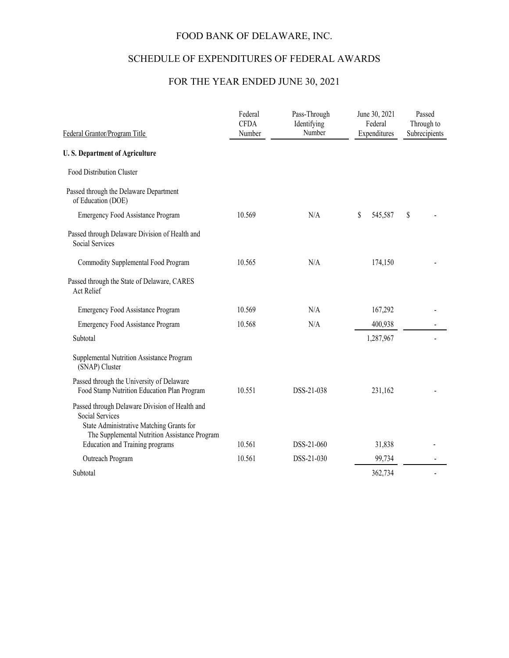### SCHEDULE OF EXPENDITURES OF FEDERAL AWARDS

# FOR THE YEAR ENDED JUNE 30, 2021

| Federal Grantor/Program Title                                                                                                                                  | Federal<br><b>CFDA</b><br>Number | Pass-Through<br>Identifying<br>Number | June 30, 2021<br>Federal<br>Expenditures | Passed<br>Through to<br>Subrecipients |
|----------------------------------------------------------------------------------------------------------------------------------------------------------------|----------------------------------|---------------------------------------|------------------------------------------|---------------------------------------|
| <b>U.S. Department of Agriculture</b>                                                                                                                          |                                  |                                       |                                          |                                       |
| Food Distribution Cluster                                                                                                                                      |                                  |                                       |                                          |                                       |
| Passed through the Delaware Department<br>of Education (DOE)                                                                                                   |                                  |                                       |                                          |                                       |
| <b>Emergency Food Assistance Program</b>                                                                                                                       | 10.569                           | N/A                                   | \$<br>545,587                            | \$                                    |
| Passed through Delaware Division of Health and<br>Social Services                                                                                              |                                  |                                       |                                          |                                       |
| Commodity Supplemental Food Program                                                                                                                            | 10.565                           | N/A                                   | 174,150                                  |                                       |
| Passed through the State of Delaware, CARES<br><b>Act Relief</b>                                                                                               |                                  |                                       |                                          |                                       |
| Emergency Food Assistance Program                                                                                                                              | 10.569                           | N/A                                   | 167,292                                  |                                       |
| <b>Emergency Food Assistance Program</b>                                                                                                                       | 10.568                           | N/A                                   | 400,938                                  |                                       |
| Subtotal                                                                                                                                                       |                                  |                                       | 1,287,967                                |                                       |
| Supplemental Nutrition Assistance Program<br>(SNAP) Cluster                                                                                                    |                                  |                                       |                                          |                                       |
| Passed through the University of Delaware<br>Food Stamp Nutrition Education Plan Program                                                                       | 10.551                           | DSS-21-038                            | 231,162                                  |                                       |
| Passed through Delaware Division of Health and<br>Social Services<br>State Administrative Matching Grants for<br>The Supplemental Nutrition Assistance Program |                                  |                                       |                                          |                                       |
| <b>Education and Training programs</b>                                                                                                                         | 10.561                           | DSS-21-060                            | 31,838                                   |                                       |
| Outreach Program                                                                                                                                               | 10.561                           | DSS-21-030                            | 99,734                                   |                                       |
| Subtotal                                                                                                                                                       |                                  |                                       | 362,734                                  |                                       |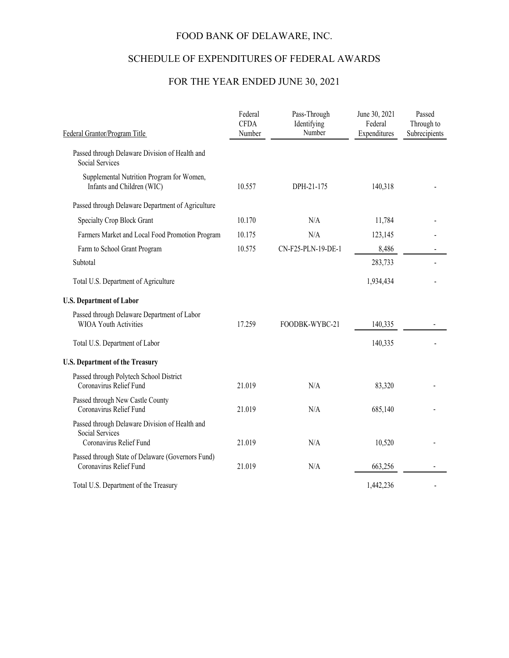### SCHEDULE OF EXPENDITURES OF FEDERAL AWARDS

# FOR THE YEAR ENDED JUNE 30, 2021

| Federal Grantor/Program Title                                                | Federal<br><b>CFDA</b><br>Number | Pass-Through<br>Identifying<br>Number | June 30, 2021<br>Federal<br>Expenditures | Passed<br>Through to<br>Subrecipients |
|------------------------------------------------------------------------------|----------------------------------|---------------------------------------|------------------------------------------|---------------------------------------|
| Passed through Delaware Division of Health and<br>Social Services            |                                  |                                       |                                          |                                       |
| Supplemental Nutrition Program for Women,<br>Infants and Children (WIC)      | 10.557                           | DPH-21-175                            | 140,318                                  |                                       |
| Passed through Delaware Department of Agriculture                            |                                  |                                       |                                          |                                       |
| Specialty Crop Block Grant                                                   | 10.170                           | N/A                                   | 11,784                                   |                                       |
| Farmers Market and Local Food Promotion Program                              | 10.175                           | N/A                                   | 123,145                                  |                                       |
| Farm to School Grant Program                                                 | 10.575                           | CN-F25-PLN-19-DE-1                    | 8,486                                    |                                       |
| Subtotal                                                                     |                                  |                                       | 283,733                                  |                                       |
| Total U.S. Department of Agriculture                                         |                                  |                                       | 1,934,434                                |                                       |
| <b>U.S. Department of Labor</b>                                              |                                  |                                       |                                          |                                       |
| Passed through Delaware Department of Labor<br><b>WIOA Youth Activities</b>  | 17.259                           | FOODBK-WYBC-21                        | 140,335                                  |                                       |
| Total U.S. Department of Labor                                               |                                  |                                       | 140,335                                  |                                       |
| <b>U.S. Department of the Treasury</b>                                       |                                  |                                       |                                          |                                       |
| Passed through Polytech School District<br>Coronavirus Relief Fund           | 21.019                           | N/A                                   | 83,320                                   |                                       |
| Passed through New Castle County<br>Coronavirus Relief Fund                  | 21.019                           | N/A                                   | 685,140                                  |                                       |
| Passed through Delaware Division of Health and<br>Social Services            |                                  |                                       |                                          |                                       |
| Coronavirus Relief Fund                                                      | 21.019                           | N/A                                   | 10,520                                   |                                       |
| Passed through State of Delaware (Governors Fund)<br>Coronavirus Relief Fund | 21.019                           | N/A                                   | 663,256                                  |                                       |
| Total U.S. Department of the Treasury                                        |                                  |                                       | 1,442,236                                |                                       |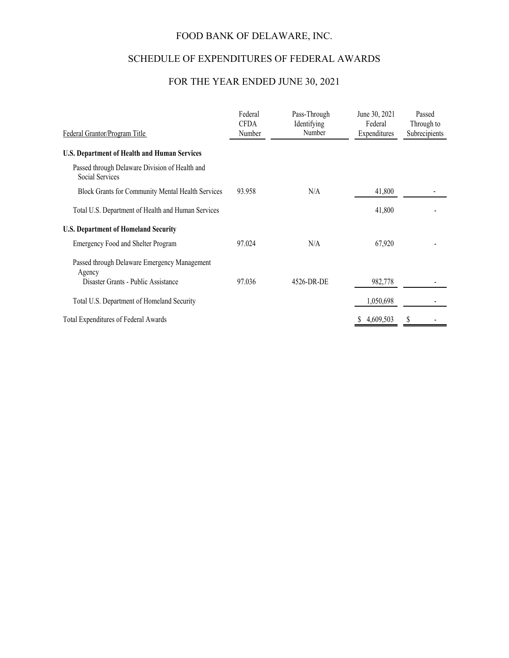### SCHEDULE OF EXPENDITURES OF FEDERAL AWARDS

# FOR THE YEAR ENDED JUNE 30, 2021

| Federal Grantor/Program Title                                     | Federal<br><b>CFDA</b><br>Number | Pass-Through<br>Identifying<br>Number | June 30, 2021<br>Federal<br>Expenditures | Passed<br>Through to<br>Subrecipients |
|-------------------------------------------------------------------|----------------------------------|---------------------------------------|------------------------------------------|---------------------------------------|
| U.S. Department of Health and Human Services                      |                                  |                                       |                                          |                                       |
| Passed through Delaware Division of Health and<br>Social Services |                                  |                                       |                                          |                                       |
| Block Grants for Community Mental Health Services                 | 93.958                           | N/A                                   | 41,800                                   |                                       |
| Total U.S. Department of Health and Human Services                |                                  |                                       | 41,800                                   |                                       |
| <b>U.S. Department of Homeland Security</b>                       |                                  |                                       |                                          |                                       |
| Emergency Food and Shelter Program                                | 97.024                           | N/A                                   | 67,920                                   |                                       |
| Passed through Delaware Emergency Management<br>Agency            |                                  |                                       |                                          |                                       |
| Disaster Grants - Public Assistance                               | 97.036                           | 4526-DR-DE                            | 982,778                                  |                                       |
| Total U.S. Department of Homeland Security                        |                                  |                                       | 1,050,698                                |                                       |
| Total Expenditures of Federal Awards                              |                                  |                                       | 4,609,503                                |                                       |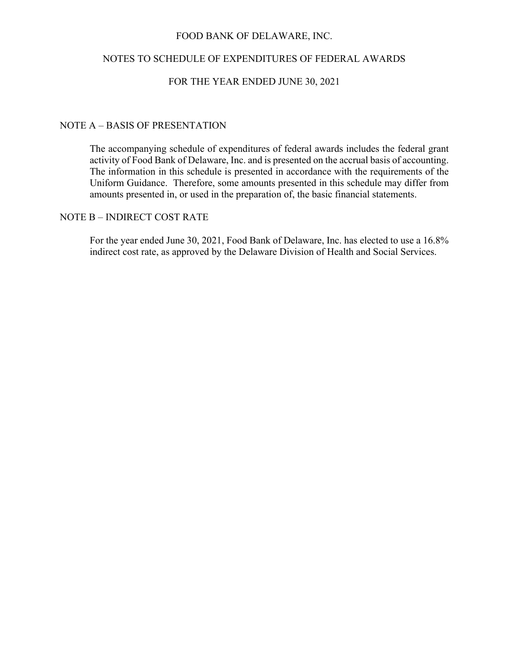#### NOTES TO SCHEDULE OF EXPENDITURES OF FEDERAL AWARDS

#### FOR THE YEAR ENDED JUNE 30, 2021

#### NOTE A – BASIS OF PRESENTATION

The accompanying schedule of expenditures of federal awards includes the federal grant activity of Food Bank of Delaware, Inc. and is presented on the accrual basis of accounting. The information in this schedule is presented in accordance with the requirements of the Uniform Guidance. Therefore, some amounts presented in this schedule may differ from amounts presented in, or used in the preparation of, the basic financial statements.

#### NOTE B – INDIRECT COST RATE

For the year ended June 30, 2021, Food Bank of Delaware, Inc. has elected to use a 16.8% indirect cost rate, as approved by the Delaware Division of Health and Social Services.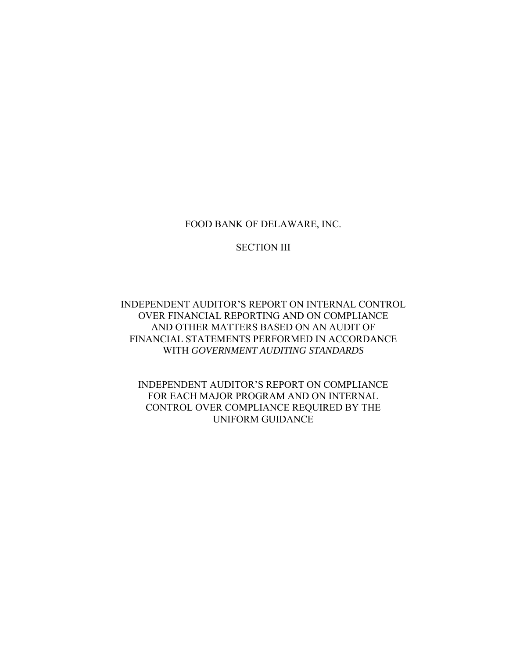SECTION III

 INDEPENDENT AUDITOR'S REPORT ON INTERNAL CONTROL OVER FINANCIAL REPORTING AND ON COMPLIANCE AND OTHER MATTERS BASED ON AN AUDIT OF FINANCIAL STATEMENTS PERFORMED IN ACCORDANCE WITH *GOVERNMENT AUDITING STANDARDS* 

INDEPENDENT AUDITOR'S REPORT ON COMPLIANCE FOR EACH MAJOR PROGRAM AND ON INTERNAL CONTROL OVER COMPLIANCE REQUIRED BY THE UNIFORM GUIDANCE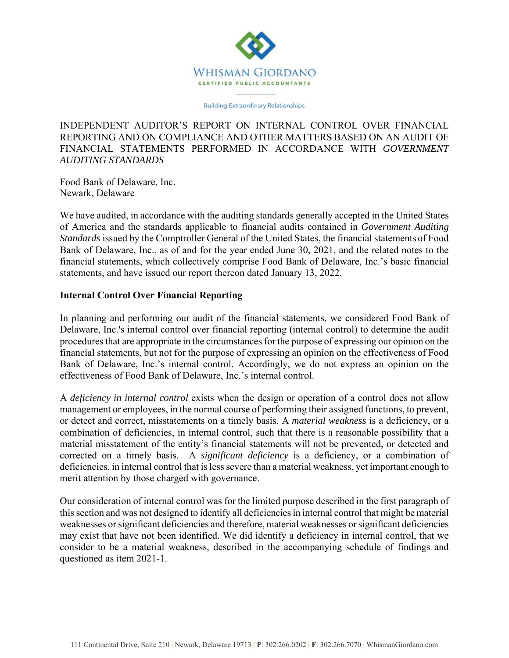

**Building Extraordinary Relationships** 

INDEPENDENT AUDITOR'S REPORT ON INTERNAL CONTROL OVER FINANCIAL REPORTING AND ON COMPLIANCE AND OTHER MATTERS BASED ON AN AUDIT OF FINANCIAL STATEMENTS PERFORMED IN ACCORDANCE WITH *GOVERNMENT AUDITING STANDARDS* 

Food Bank of Delaware, Inc. Newark, Delaware

We have audited, in accordance with the auditing standards generally accepted in the United States of America and the standards applicable to financial audits contained in *Government Auditing Standards* issued by the Comptroller General of the United States, the financial statements of Food Bank of Delaware, Inc., as of and for the year ended June 30, 2021, and the related notes to the financial statements, which collectively comprise Food Bank of Delaware, Inc.'s basic financial statements, and have issued our report thereon dated January 13, 2022.

### **Internal Control Over Financial Reporting**

In planning and performing our audit of the financial statements, we considered Food Bank of Delaware, Inc.'s internal control over financial reporting (internal control) to determine the audit procedures that are appropriate in the circumstances for the purpose of expressing our opinion on the financial statements, but not for the purpose of expressing an opinion on the effectiveness of Food Bank of Delaware, Inc.'s internal control. Accordingly, we do not express an opinion on the effectiveness of Food Bank of Delaware, Inc.'s internal control.

A *deficiency in internal control* exists when the design or operation of a control does not allow management or employees, in the normal course of performing their assigned functions, to prevent, or detect and correct, misstatements on a timely basis. A *material weakness* is a deficiency, or a combination of deficiencies, in internal control, such that there is a reasonable possibility that a material misstatement of the entity's financial statements will not be prevented, or detected and corrected on a timely basis. A *significant deficiency* is a deficiency, or a combination of deficiencies, in internal control that is less severe than a material weakness, yet important enough to merit attention by those charged with governance.

Our consideration of internal control was for the limited purpose described in the first paragraph of this section and was not designed to identify all deficiencies in internal control that might be material weaknesses or significant deficiencies and therefore, material weaknesses or significant deficiencies may exist that have not been identified. We did identify a deficiency in internal control, that we consider to be a material weakness, described in the accompanying schedule of findings and questioned as item 2021-1.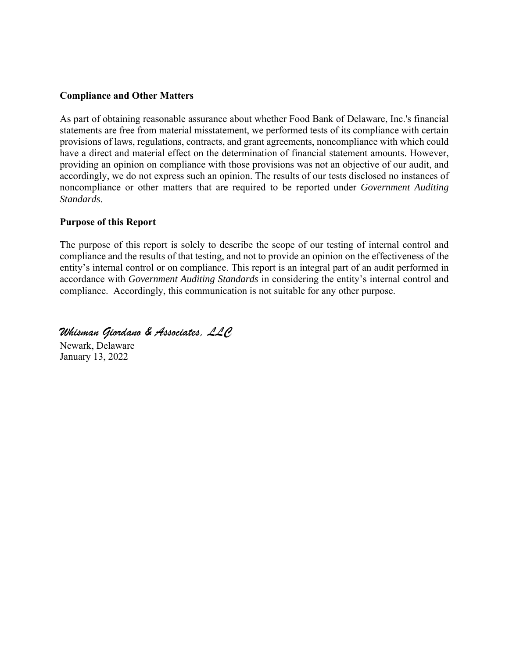### **Compliance and Other Matters**

As part of obtaining reasonable assurance about whether Food Bank of Delaware, Inc.'s financial statements are free from material misstatement, we performed tests of its compliance with certain provisions of laws, regulations, contracts, and grant agreements, noncompliance with which could have a direct and material effect on the determination of financial statement amounts. However, providing an opinion on compliance with those provisions was not an objective of our audit, and accordingly, we do not express such an opinion. The results of our tests disclosed no instances of noncompliance or other matters that are required to be reported under *Government Auditing Standards*.

### **Purpose of this Report**

The purpose of this report is solely to describe the scope of our testing of internal control and compliance and the results of that testing, and not to provide an opinion on the effectiveness of the entity's internal control or on compliance. This report is an integral part of an audit performed in accordance with *Government Auditing Standards* in considering the entity's internal control and compliance. Accordingly, this communication is not suitable for any other purpose.

# *Whisman Giordano & Associates, LLC*

Newark, Delaware January 13, 2022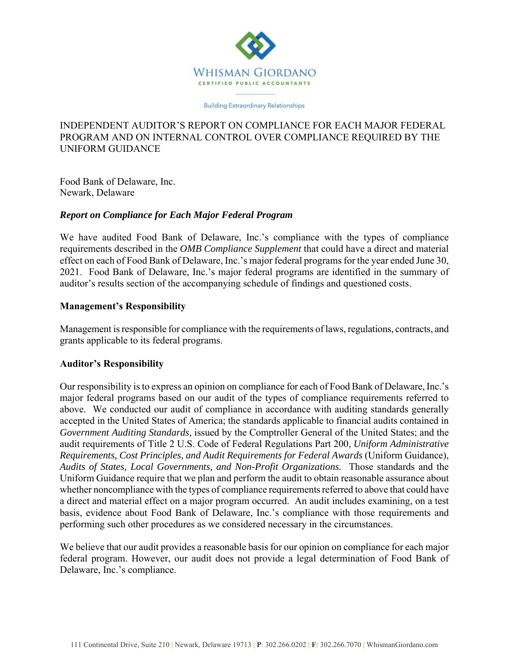

**Building Extraordinary Relationships** 

### INDEPENDENT AUDITOR'S REPORT ON COMPLIANCE FOR EACH MAJOR FEDERAL PROGRAM AND ON INTERNAL CONTROL OVER COMPLIANCE REQUIRED BY THE UNIFORM GUIDANCE

Food Bank of Delaware, Inc. Newark, Delaware

### *Report on Compliance for Each Major Federal Program*

We have audited Food Bank of Delaware, Inc.'s compliance with the types of compliance requirements described in the *OMB Compliance Supplement* that could have a direct and material effect on each of Food Bank of Delaware, Inc.'s major federal programs for the year ended June 30, 2021. Food Bank of Delaware, Inc.'s major federal programs are identified in the summary of auditor's results section of the accompanying schedule of findings and questioned costs.

### **Management's Responsibility**

Management is responsible for compliance with the requirements of laws, regulations, contracts, and grants applicable to its federal programs.

#### **Auditor's Responsibility**

Our responsibility is to express an opinion on compliance for each of Food Bank of Delaware, Inc.'s major federal programs based on our audit of the types of compliance requirements referred to above. We conducted our audit of compliance in accordance with auditing standards generally accepted in the United States of America; the standards applicable to financial audits contained in *Government Auditing Standards,* issued by the Comptroller General of the United States; and the audit requirements of Title 2 U.S. Code of Federal Regulations Part 200, *Uniform Administrative Requirements, Cost Principles, and Audit Requirements for Federal Awards* (Uniform Guidance), *Audits of States, Local Governments, and Non-Profit Organizations.* Those standards and the Uniform Guidance require that we plan and perform the audit to obtain reasonable assurance about whether noncompliance with the types of compliance requirements referred to above that could have a direct and material effect on a major program occurred. An audit includes examining, on a test basis, evidence about Food Bank of Delaware, Inc.'s compliance with those requirements and performing such other procedures as we considered necessary in the circumstances.

We believe that our audit provides a reasonable basis for our opinion on compliance for each major federal program. However, our audit does not provide a legal determination of Food Bank of Delaware, Inc.'s compliance.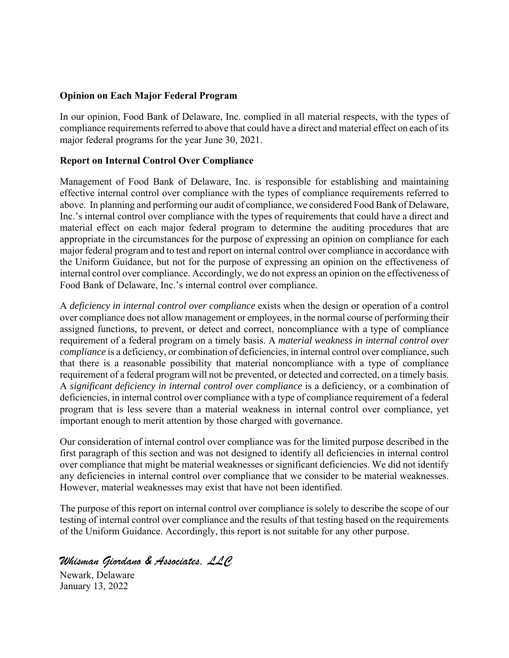### **Opinion on Each Major Federal Program**

In our opinion, Food Bank of Delaware, Inc. complied in all material respects, with the types of compliance requirements referred to above that could have a direct and material effect on each of its major federal programs for the year June 30, 2021.

### **Report on Internal Control Over Compliance**

Management of Food Bank of Delaware, Inc. is responsible for establishing and maintaining effective internal control over compliance with the types of compliance requirements referred to above. In planning and performing our audit of compliance, we considered Food Bank of Delaware, Inc.'s internal control over compliance with the types of requirements that could have a direct and material effect on each major federal program to determine the auditing procedures that are appropriate in the circumstances for the purpose of expressing an opinion on compliance for each major federal program and to test and report on internal control over compliance in accordance with the Uniform Guidance, but not for the purpose of expressing an opinion on the effectiveness of internal control over compliance. Accordingly, we do not express an opinion on the effectiveness of Food Bank of Delaware, Inc.'s internal control over compliance.

A *deficiency in internal control over compliance* exists when the design or operation of a control over compliance does not allow management or employees, in the normal course of performing their assigned functions, to prevent, or detect and correct, noncompliance with a type of compliance requirement of a federal program on a timely basis. A *material weakness in internal control over compliance* is a deficiency, or combination of deficiencies, in internal control over compliance, such that there is a reasonable possibility that material noncompliance with a type of compliance requirement of a federal program will not be prevented, or detected and corrected, on a timely basis. A *significant deficiency in internal control over compliance* is a deficiency, or a combination of deficiencies, in internal control over compliance with a type of compliance requirement of a federal program that is less severe than a material weakness in internal control over compliance, yet important enough to merit attention by those charged with governance.

Our consideration of internal control over compliance was for the limited purpose described in the first paragraph of this section and was not designed to identify all deficiencies in internal control over compliance that might be material weaknesses or significant deficiencies. We did not identify any deficiencies in internal control over compliance that we consider to be material weaknesses. However, material weaknesses may exist that have not been identified.

The purpose of this report on internal control over compliance is solely to describe the scope of our testing of internal control over compliance and the results of that testing based on the requirements of the Uniform Guidance. Accordingly, this report is not suitable for any other purpose.

*Whisman Giordano & Associates, LLC* 

Newark, Delaware January 13, 2022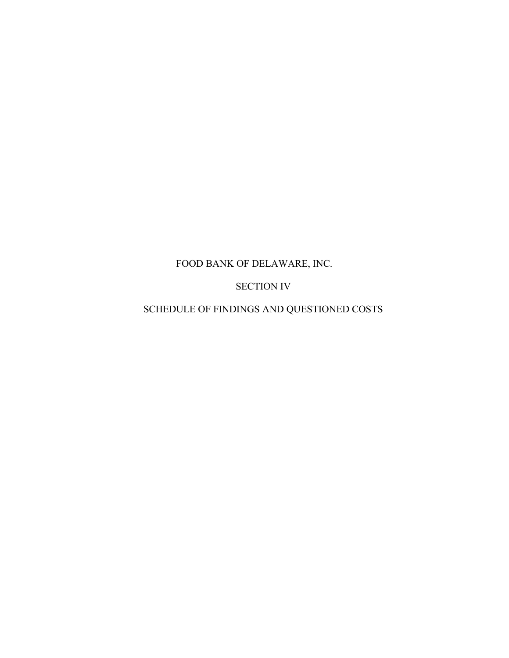### SECTION IV

SCHEDULE OF FINDINGS AND QUESTIONED COSTS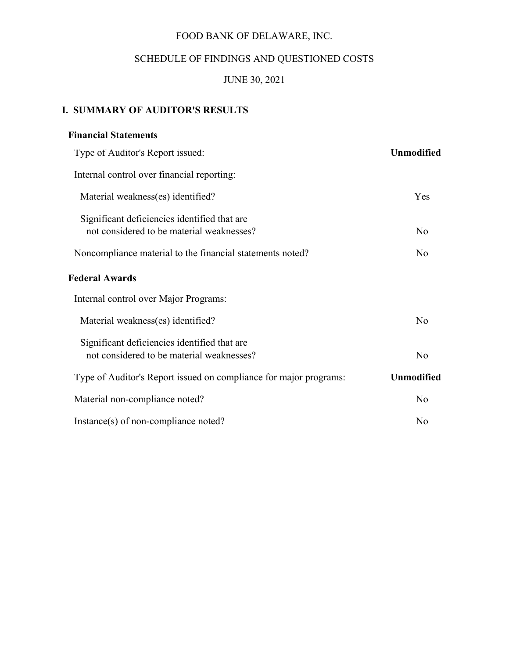### SCHEDULE OF FINDINGS AND QUESTIONED COSTS

JUNE 30, 2021

# **I. SUMMARY OF AUDITOR'S RESULTS**

| <b>Financial Statements</b>                                                               |                   |
|-------------------------------------------------------------------------------------------|-------------------|
| Type of Auditor's Report issued:                                                          | <b>Unmodified</b> |
| Internal control over financial reporting:                                                |                   |
| Material weakness(es) identified?                                                         | Yes               |
| Significant deficiencies identified that are<br>not considered to be material weaknesses? | No                |
| Noncompliance material to the financial statements noted?                                 | No                |
| <b>Federal Awards</b>                                                                     |                   |
| Internal control over Major Programs:                                                     |                   |
| Material weakness(es) identified?                                                         | No                |
| Significant deficiencies identified that are<br>not considered to be material weaknesses? | No                |
| Type of Auditor's Report issued on compliance for major programs:                         | <b>Unmodified</b> |
| Material non-compliance noted?                                                            | N <sub>o</sub>    |
| Instance(s) of non-compliance noted?                                                      | No                |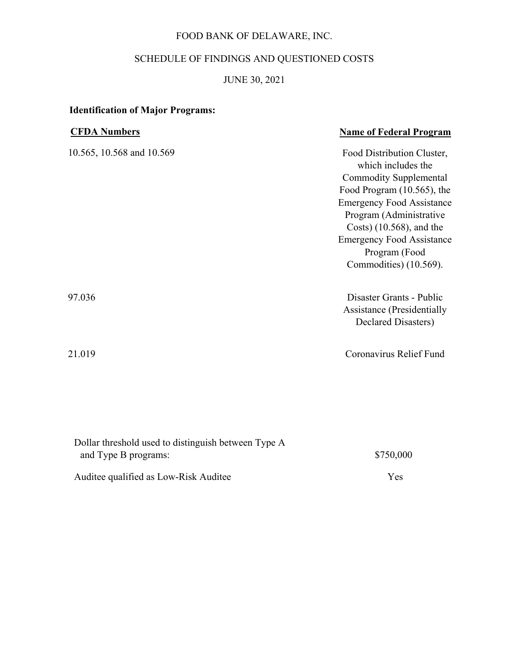# SCHEDULE OF FINDINGS AND QUESTIONED COSTS

# JUNE 30, 2021

# **Identification of Major Programs:**

| <b>CFDA Numbers</b>       | <b>Name of Federal Program</b>                   |
|---------------------------|--------------------------------------------------|
| 10.565, 10.568 and 10.569 | Food Distribution Cluster,<br>which includes the |
|                           | Commodity Supplemental                           |
|                           | Food Program $(10.565)$ , the                    |
|                           | <b>Emergency Food Assistance</b>                 |
|                           | Program (Administrative                          |
|                           | Costs) $(10.568)$ , and the                      |
|                           | <b>Emergency Food Assistance</b>                 |
|                           | Program (Food                                    |
|                           | Commodities) (10.569).                           |
| 97.036                    | Disaster Grants - Public                         |
|                           | <b>Assistance (Presidentially</b>                |
|                           | <b>Declared Disasters</b> )                      |
| 21.019                    | Coronavirus Relief Fund                          |
|                           |                                                  |

| Dollar threshold used to distinguish between Type A |           |
|-----------------------------------------------------|-----------|
| and Type B programs:                                | \$750,000 |
| Auditee qualified as Low-Risk Auditee               | Yes       |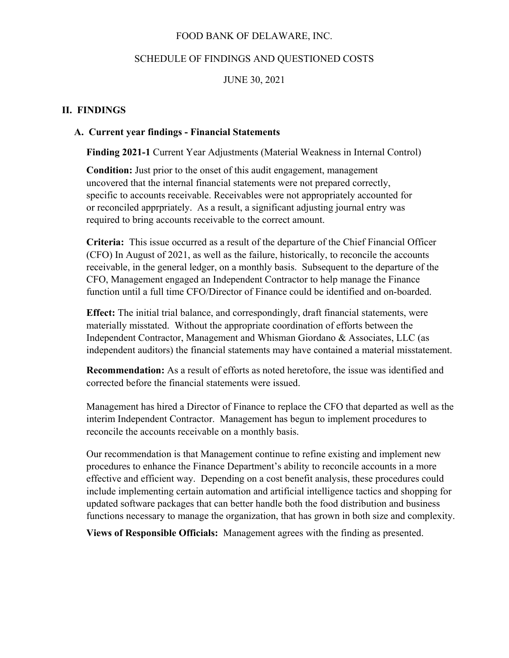#### SCHEDULE OF FINDINGS AND QUESTIONED COSTS

JUNE 30, 2021

### **II. FINDINGS**

#### **A. Current year findings - Financial Statements**

**Finding 2021-1** Current Year Adjustments (Material Weakness in Internal Control)

**Condition:** Just prior to the onset of this audit engagement, management uncovered that the internal financial statements were not prepared correctly, specific to accounts receivable. Receivables were not appropriately accounted for or reconciled apprpriately. As a result, a significant adjusting journal entry was required to bring accounts receivable to the correct amount.

**Criteria:** This issue occurred as a result of the departure of the Chief Financial Officer (CFO) In August of 2021, as well as the failure, historically, to reconcile the accounts receivable, in the general ledger, on a monthly basis. Subsequent to the departure of the CFO, Management engaged an Independent Contractor to help manage the Finance function until a full time CFO/Director of Finance could be identified and on-boarded.

**Effect:** The initial trial balance, and correspondingly, draft financial statements, were materially misstated. Without the appropriate coordination of efforts between the Independent Contractor, Management and Whisman Giordano & Associates, LLC (as independent auditors) the financial statements may have contained a material misstatement.

**Recommendation:** As a result of efforts as noted heretofore, the issue was identified and corrected before the financial statements were issued.

Management has hired a Director of Finance to replace the CFO that departed as well as the interim Independent Contractor. Management has begun to implement procedures to reconcile the accounts receivable on a monthly basis.

Our recommendation is that Management continue to refine existing and implement new procedures to enhance the Finance Department's ability to reconcile accounts in a more effective and efficient way. Depending on a cost benefit analysis, these procedures could include implementing certain automation and artificial intelligence tactics and shopping for updated software packages that can better handle both the food distribution and business functions necessary to manage the organization, that has grown in both size and complexity.

**Views of Responsible Officials:** Management agrees with the finding as presented.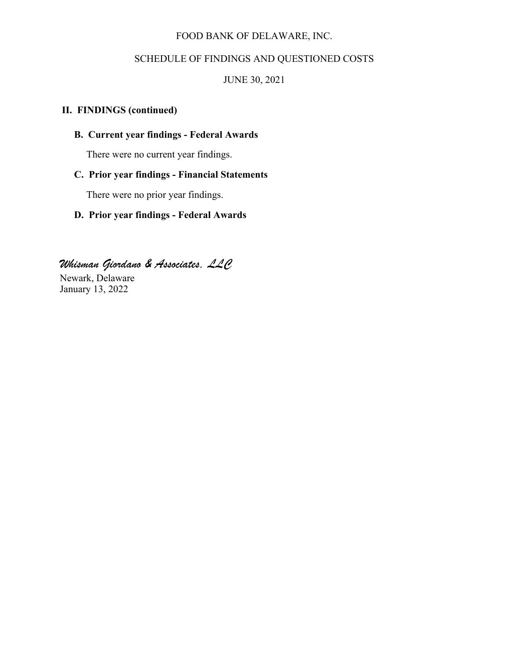### SCHEDULE OF FINDINGS AND QUESTIONED COSTS

### JUNE 30, 2021

### **II. FINDINGS (continued)**

### **B. Current year findings - Federal Awards**

There were no current year findings.

# **C. Prior year findings - Financial Statements**

There were no prior year findings.

### **D. Prior year findings - Federal Awards**

*Whisman Giordano & Associates, LLC* 

Newark, Delaware January 13, 2022